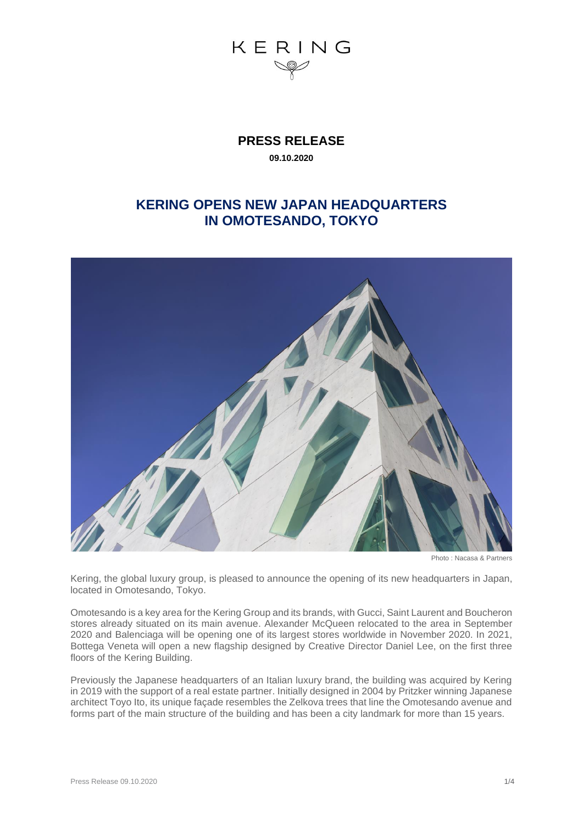

**PRESS RELEASE 09.10.2020**

### **KERING OPENS NEW JAPAN HEADQUARTERS IN OMOTESANDO, TOKYO**



Photo : Nacasa & Partners

Kering, the global luxury group, is pleased to announce the opening of its new headquarters in Japan, located in Omotesando, Tokyo.

Omotesando is a key area for the Kering Group and its brands, with Gucci, Saint Laurent and Boucheron stores already situated on its main avenue. Alexander McQueen relocated to the area in September 2020 and Balenciaga will be opening one of its largest stores worldwide in November 2020. In 2021, Bottega Veneta will open a new flagship designed by Creative Director Daniel Lee, on the first three floors of the Kering Building.

Previously the Japanese headquarters of an Italian luxury brand, the building was acquired by Kering in 2019 with the support of a real estate partner. Initially designed in 2004 by Pritzker winning Japanese architect Toyo Ito, its unique façade resembles the Zelkova trees that line the Omotesando avenue and forms part of the main structure of the building and has been a city landmark for more than 15 years.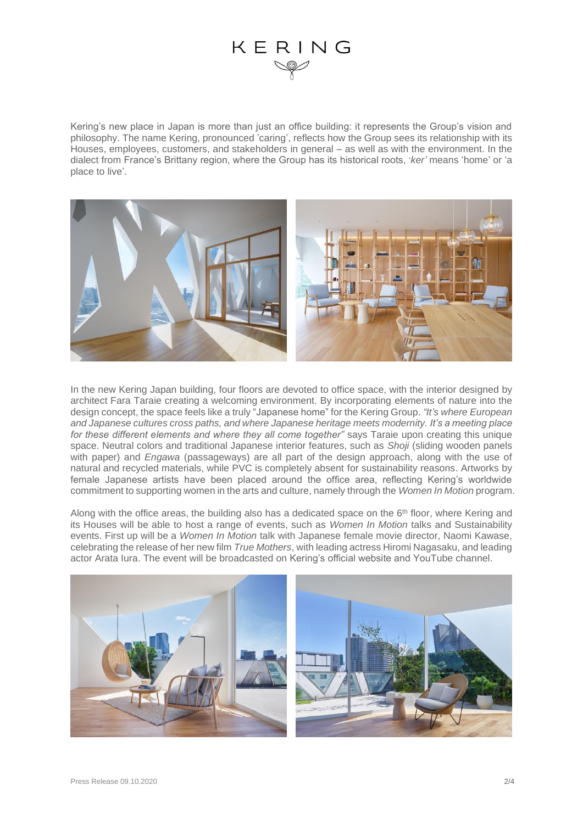## KERING

Kering's new place in Japan is more than just an office building: it represents the Group's vision and philosophy. The name Kering, pronounced 'caring', reflects how the Group sees its relationship with its Houses, employees, customers, and stakeholders in general – as well as with the environment. In the dialect from France's Brittany region, where the Group has its historical roots, '*ker'* means 'home' or 'a place to live'.



In the new Kering Japan building, four floors are devoted to office space, with the interior designed by architect Fara Taraie creating a welcoming environment. By incorporating elements of nature into the design concept, the space feels like a truly "Japanese home" for the Kering Group. *"It's where European and Japanese cultures cross paths, and where Japanese heritage meets modernity. It's a meeting place for these different elements and where they all come together"* says Taraie upon creating this unique space. Neutral colors and traditional Japanese interior features, such as *Shoji* (sliding wooden panels with paper) and *Engawa* (passageways) are all part of the design approach, along with the use of natural and recycled materials, while PVC is completely absent for sustainability reasons. Artworks by female Japanese artists have been placed around the office area, reflecting Kering's worldwide commitment to supporting women in the arts and culture, namely through the *Women In Motion* program.

Along with the office areas, the building also has a dedicated space on the  $6<sup>th</sup>$  floor, where Kering and its Houses will be able to host a range of events, such as *Women In Motion* talks and Sustainability events. First up will be a *Women In Motion* talk with Japanese female movie director, Naomi Kawase, celebrating the release of her new film *True Mothers*, with leading actress Hiromi Nagasaku, and leading actor Arata Iura. The event will be broadcasted on Kering's official website and YouTube channel.

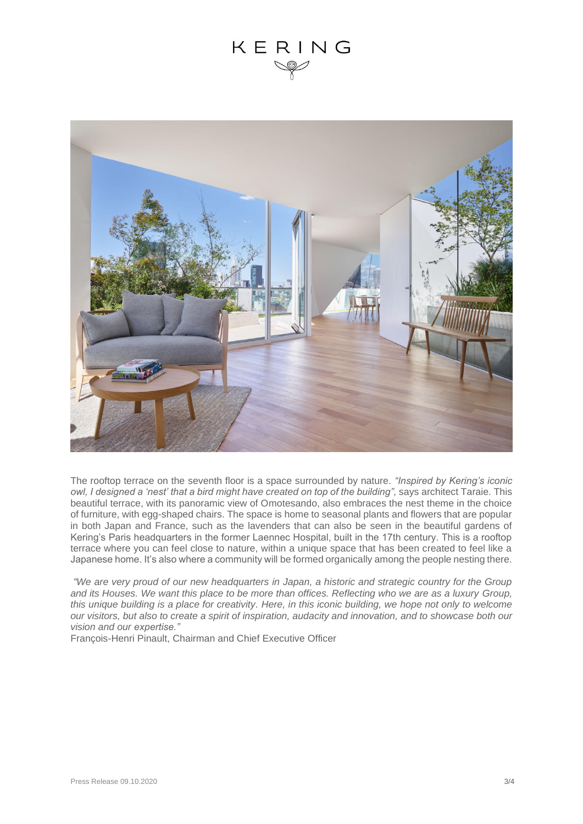### KERING



The rooftop terrace on the seventh floor is a space surrounded by nature. *"Inspired by Kering's iconic owl, I designed a 'nest' that a bird might have created on top of the building",* says architect Taraie. This beautiful terrace, with its panoramic view of Omotesando, also embraces the nest theme in the choice of furniture, with egg-shaped chairs. The space is home to seasonal plants and flowers that are popular in both Japan and France, such as the lavenders that can also be seen in the beautiful gardens of Kering's Paris headquarters in the former Laennec Hospital, built in the 17th century. This is a rooftop terrace where you can feel close to nature, within a unique space that has been created to feel like a Japanese home. It's also where a community will be formed organically among the people nesting there.

*"We are very proud of our new headquarters in Japan, a historic and strategic country for the Group and its Houses. We want this place to be more than offices. Reflecting who we are as a luxury Group, this unique building is a place for creativity. Here, in this iconic building, we hope not only to welcome our visitors, but also to create a spirit of inspiration, audacity and innovation, and to showcase both our vision and our expertise."*

François-Henri Pinault, Chairman and Chief Executive Officer